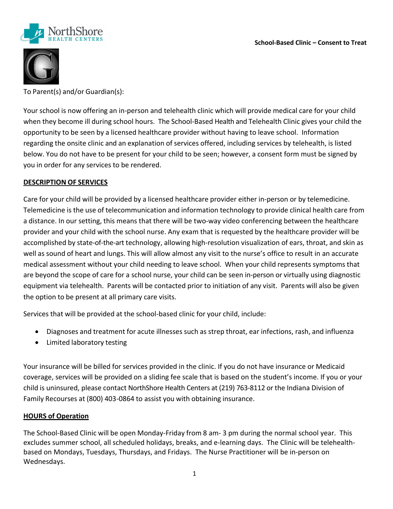



To Parent(s) and/or Guardian(s):

Your school is now offering an in-person and telehealth clinic which will provide medical care for your child when they become ill during school hours. The School-Based Health and Telehealth Clinic gives your child the opportunity to be seen by a licensed healthcare provider without having to leave school. Information regarding the onsite clinic and an explanation of services offered, including services by telehealth, is listed below. You do not have to be present for your child to be seen; however, a consent form must be signed by you in order for any services to be rendered.

## **DESCRIPTION OF SERVICES**

Care for your child will be provided by a licensed healthcare provider either in-person or by telemedicine. Telemedicine is the use of telecommunication and information technology to provide clinical health care from a distance. In our setting, this means that there will be two-way video conferencing between the healthcare provider and your child with the school nurse. Any exam that is requested by the healthcare provider will be accomplished by state-of-the-art technology, allowing high-resolution visualization of ears, throat, and skin as well as sound of heart and lungs. This will allow almost any visit to the nurse's office to result in an accurate medical assessment without your child needing to leave school. When your child represents symptoms that are beyond the scope of care for a school nurse, your child can be seen in-person or virtually using diagnostic equipment via telehealth. Parents will be contacted prior to initiation of any visit. Parents will also be given the option to be present at all primary care visits.

Services that will be provided at the school-based clinic for your child, include:

- Diagnoses and treatment for acute illnesses such as strep throat, ear infections, rash, and influenza
- Limited laboratory testing

Your insurance will be billed for services provided in the clinic. If you do not have insurance or Medicaid coverage, services will be provided on a sliding fee scale that is based on the student's income. If you or your child is uninsured, please contact NorthShore Health Centers at (219) 763-8112 or the Indiana Division of Family Recourses at (800) 403-0864 to assist you with obtaining insurance.

## **HOURS of Operation**

The School-Based Clinic will be open Monday-Friday from 8 am- 3 pm during the normal school year. This excludes summer school, all scheduled holidays, breaks, and e-learning days. The Clinic will be telehealthbased on Mondays, Tuesdays, Thursdays, and Fridays. The Nurse Practitioner will be in-person on Wednesdays.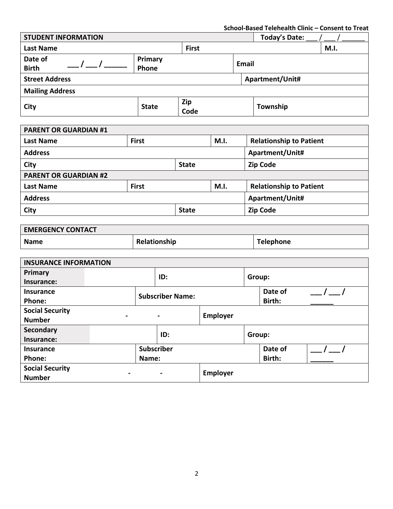**School-Based Telehealth Clinic – Consent to Treat**

| <b>STUDENT INFORMATION</b>   |                  |              |  | <b>Today's Date:</b>           |      |  |
|------------------------------|------------------|--------------|--|--------------------------------|------|--|
| <b>Last Name</b>             |                  | <b>First</b> |  |                                | M.I. |  |
| Date of<br><b>Birth</b>      | Primary<br>Phone |              |  | <b>Email</b>                   |      |  |
| <b>Street Address</b>        |                  |              |  | Apartment/Unit#                |      |  |
| <b>Mailing Address</b>       |                  |              |  |                                |      |  |
| City                         | <b>State</b>     | Zip<br>Code  |  | Township                       |      |  |
| <b>PARENT OR GUARDIAN #1</b> |                  |              |  |                                |      |  |
| <b>Last Name</b>             | <b>First</b>     | M.I.         |  | <b>Relationship to Patient</b> |      |  |
| <b>Addrocc</b>               |                  |              |  | Anartmont/Linit#               |      |  |

| Auuress                      |              |              |      | Apartment/Unit#                |  |
|------------------------------|--------------|--------------|------|--------------------------------|--|
| <b>City</b>                  |              | <b>State</b> |      | <b>Zip Code</b>                |  |
| <b>PARENT OR GUARDIAN #2</b> |              |              |      |                                |  |
| <b>Last Name</b>             | <b>First</b> |              | M.I. | <b>Relationship to Patient</b> |  |
| <b>Address</b>               |              |              |      | Apartment/Unit#                |  |
| City<br><b>State</b>         |              |              |      | <b>Zip Code</b>                |  |

| <b>EMERGENCY CONTACT</b> |              |           |
|--------------------------|--------------|-----------|
| <b>Name</b>              | Relationship | Telephone |

| <b>INSURANCE INFORMATION</b> |                                  |                   |                         |          |                   |         |  |
|------------------------------|----------------------------------|-------------------|-------------------------|----------|-------------------|---------|--|
| Primary                      |                                  |                   | ID:                     |          | Group:            |         |  |
| Insurance:                   |                                  |                   |                         |          |                   |         |  |
| Insurance                    |                                  |                   | <b>Subscriber Name:</b> |          | Date of<br>Birth: |         |  |
| Phone:                       |                                  |                   |                         |          |                   |         |  |
| <b>Social Security</b>       |                                  |                   |                         |          |                   |         |  |
| <b>Number</b>                | $\blacksquare$<br>$\blacksquare$ |                   | <b>Employer</b>         |          |                   |         |  |
| Secondary                    | ID:                              |                   |                         | Group:   |                   |         |  |
| Insurance:                   |                                  |                   |                         |          |                   |         |  |
| <b>Insurance</b>             |                                  | <b>Subscriber</b> |                         |          |                   | Date of |  |
| <b>Phone:</b>                |                                  | Name:             |                         |          |                   | Birth:  |  |
| <b>Social Security</b>       | ۰                                | ۰                 |                         | Employer |                   |         |  |
| <b>Number</b>                |                                  |                   |                         |          |                   |         |  |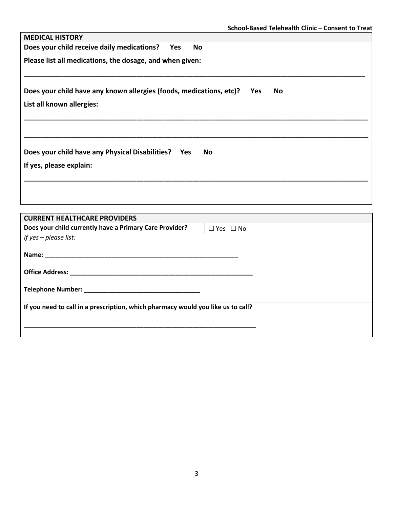| <b>MEDICAL HISTORY</b>                                                                                                                                                                                                         |  |  |  |  |
|--------------------------------------------------------------------------------------------------------------------------------------------------------------------------------------------------------------------------------|--|--|--|--|
| Does your child receive daily medications?<br><b>No</b><br>Yes                                                                                                                                                                 |  |  |  |  |
| Please list all medications, the dosage, and when given:                                                                                                                                                                       |  |  |  |  |
| Does your child have any known allergies (foods, medications, etc)?<br><b>No</b><br>Yes<br>List all known allergies:                                                                                                           |  |  |  |  |
|                                                                                                                                                                                                                                |  |  |  |  |
| Does your child have any Physical Disabilities? Yes<br><b>No</b>                                                                                                                                                               |  |  |  |  |
| If yes, please explain:                                                                                                                                                                                                        |  |  |  |  |
|                                                                                                                                                                                                                                |  |  |  |  |
| <b>CURRENT HEALTHCARE PROVIDERS</b>                                                                                                                                                                                            |  |  |  |  |
| Does your child currently have a Primary Care Provider?<br>$\Box$ Yes $\Box$ No                                                                                                                                                |  |  |  |  |
| If yes - please list:                                                                                                                                                                                                          |  |  |  |  |
| Name: Name and the state of the state of the state of the state of the state of the state of the state of the state of the state of the state of the state of the state of the state of the state of the state of the state of |  |  |  |  |
|                                                                                                                                                                                                                                |  |  |  |  |
|                                                                                                                                                                                                                                |  |  |  |  |

**If you need to call in a prescription, which pharmacy would you like us to call?**

\_\_\_\_\_\_\_\_\_\_\_\_\_\_\_\_\_\_\_\_\_\_\_\_\_\_\_\_\_\_\_\_\_\_\_\_\_\_\_\_\_\_\_\_\_\_\_\_\_\_\_\_\_\_\_\_\_\_\_\_\_\_\_\_\_\_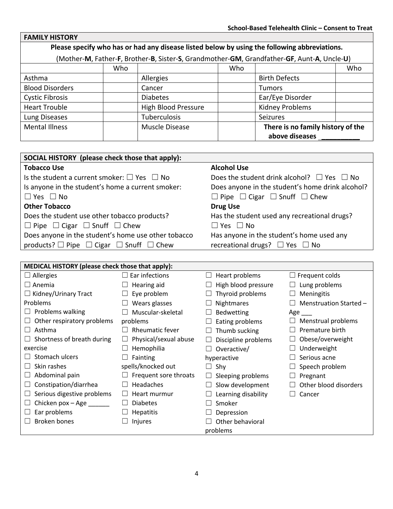| <b>FAMILY HISTORY</b>  |                                                                                              |                            |     |                                                                                            |     |  |
|------------------------|----------------------------------------------------------------------------------------------|----------------------------|-----|--------------------------------------------------------------------------------------------|-----|--|
|                        | Please specify who has or had any disease listed below by using the following abbreviations. |                            |     |                                                                                            |     |  |
|                        |                                                                                              |                            |     | (Mother-M, Father-F, Brother-B, Sister-S, Grandmother-GM, Grandfather-GF, Aunt-A, Uncle-U) |     |  |
|                        | Who                                                                                          |                            | Who |                                                                                            | Who |  |
| Asthma                 |                                                                                              | Allergies                  |     | <b>Birth Defects</b>                                                                       |     |  |
| <b>Blood Disorders</b> |                                                                                              | Cancer                     |     | <b>Tumors</b>                                                                              |     |  |
| <b>Cystic Fibrosis</b> |                                                                                              | <b>Diabetes</b>            |     | Ear/Eye Disorder                                                                           |     |  |
| <b>Heart Trouble</b>   |                                                                                              | <b>High Blood Pressure</b> |     | <b>Kidney Problems</b>                                                                     |     |  |
| Lung Diseases          |                                                                                              | Tuberculosis               |     | <b>Seizures</b>                                                                            |     |  |
| <b>Mental Illness</b>  |                                                                                              | Muscle Disease             |     | There is no family history of the                                                          |     |  |
|                        |                                                                                              |                            |     | above diseases                                                                             |     |  |

| SOCIAL HISTORY (please check those that apply):             |                                                      |
|-------------------------------------------------------------|------------------------------------------------------|
| <b>Tobacco Use</b>                                          | <b>Alcohol Use</b>                                   |
| Is the student a current smoker: $\Box$ Yes $\Box$ No       | Does the student drink alcohol? $\Box$ Yes $\Box$ No |
| Is anyone in the student's home a current smoker:           | Does anyone in the student's home drink alcohol?     |
| $\Box$ Yes $\Box$ No                                        | $\Box$ Pipe $\Box$ Cigar $\Box$ Snuff $\Box$ Chew    |
| <b>Other Tobacco</b>                                        | <b>Drug Use</b>                                      |
| Does the student use other tobacco products?                | Has the student used any recreational drugs?         |
| $\Box$ Pipe $\Box$ Cigar $\Box$ Snuff $\Box$ Chew           | $\Box$ Yes $\Box$ No                                 |
| Does anyone in the student's home use other tobacco         | Has anyone in the student's home used any            |
| products? $\Box$ Pipe $\Box$ Cigar $\Box$ Snuff $\Box$ Chew | recreational drugs? $\Box$ Yes $\Box$ No             |
|                                                             |                                                      |

r.

| MEDICAL HISTORY (please check those that apply): |                          |                            |                        |
|--------------------------------------------------|--------------------------|----------------------------|------------------------|
| $\Box$ Allergies                                 | Ear infections<br>$\Box$ | Heart problems<br>$\Box$   | $\Box$ Frequent colds  |
| $\Box$ Anemia                                    | Hearing aid<br>ப         | High blood pressure<br>ப   | Lung problems          |
| $\Box$ Kidney/Urinary Tract                      | Eye problem<br>ப         | Thyroid problems<br>ப      | Meningitis             |
| Problems                                         | Wears glasses<br>ப       | Nightmares<br>ப            | Menstruation Started - |
| Problems walking<br>ப                            | Muscular-skeletal        | Bedwetting<br>ப            | Age $\qquad$           |
| Other respiratory problems                       | problems                 | Eating problems<br>$\Box$  | Menstrual problems     |
| Asthma<br>$\perp$                                | <b>Rheumatic fever</b>   | Thumb sucking<br>Ш         | Premature birth        |
| Shortness of breath during                       | Physical/sexual abuse    | $\Box$ Discipline problems | Obese/overweight       |
| exercise                                         | Hemophilia               | Overactive/<br>$\perp$     | Underweight            |
| Stomach ulcers                                   | Fainting                 | hyperactive                | Serious acne           |
| Skin rashes                                      | spells/knocked out       | $\Box$ Shy                 | Speech problem         |
| Abdominal pain                                   | Frequent sore throats    | $\Box$ Sleeping problems   | Pregnant               |
| Constipation/diarrhea                            | Headaches                | Slow development           | Other blood disorders  |
| Serious digestive problems                       | Heart murmur             | Learning disability        | Cancer                 |
| Chicken pox - Age                                | <b>Diabetes</b>          | Smoker                     |                        |
| Ear problems                                     | <b>Hepatitis</b>         | Depression                 |                        |
| <b>Broken bones</b>                              | Injures                  | Other behavioral           |                        |
|                                                  |                          | problems                   |                        |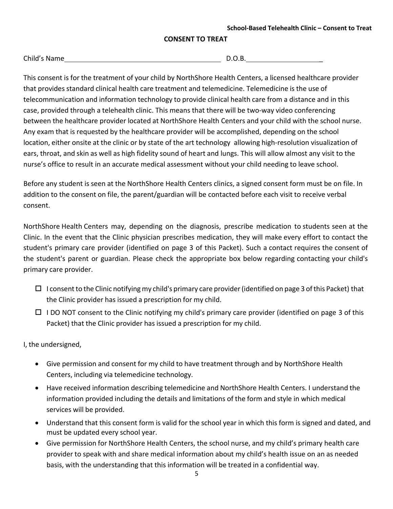## **CONSENT TO TREAT**

| Child's Name |  |
|--------------|--|
|              |  |

 $D.O.B.$ 

This consent is for the treatment of your child by NorthShore Health Centers, a licensed healthcare provider that provides standard clinical health care treatment and telemedicine. Telemedicine is the use of telecommunication and information technology to provide clinical health care from a distance and in this case, provided through a telehealth clinic. This means that there will be two-way video conferencing between the healthcare provider located at NorthShore Health Centers and your child with the school nurse. Any exam that is requested by the healthcare provider will be accomplished, depending on the school location, either onsite at the clinic or by state of the art technology allowing high-resolution visualization of ears, throat, and skin as well as high fidelity sound of heart and lungs. This will allow almost any visit to the nurse's office to result in an accurate medical assessment without your child needing to leave school.

Before any student is seen at the NorthShore Health Centers clinics, a signed consent form must be on file. In addition to the consent on file, the parent/guardian will be contacted before each visit to receive verbal consent.

NorthShore Health Centers may, depending on the diagnosis, prescribe medication to students seen at the Clinic. In the event that the Clinic physician prescribes medication, they will make every effort to contact the student's primary care provider (identified on page 3 of this Packet). Such a contact requires the consent of the student's parent or guardian. Please check the appropriate box below regarding contacting your child's primary care provider.

- $\Box$  I consent to the Clinic notifying my child's primary care provider (identified on page 3 of this Packet) that the Clinic provider has issued a prescription for my child.
- $\Box$  I DO NOT consent to the Clinic notifying my child's primary care provider (identified on page 3 of this Packet) that the Clinic provider has issued a prescription for my child.

I, the undersigned,

- Give permission and consent for my child to have treatment through and by NorthShore Health Centers, including via telemedicine technology.
- Have received information describing telemedicine and NorthShore Health Centers. I understand the information provided including the details and limitations of the form and style in which medical services will be provided.
- Understand that this consent form is valid for the school year in which this form is signed and dated, and must be updated every school year.
- Give permission for NorthShore Health Centers, the school nurse, and my child's primary health care provider to speak with and share medical information about my child's health issue on an as needed basis, with the understanding that this information will be treated in a confidential way.